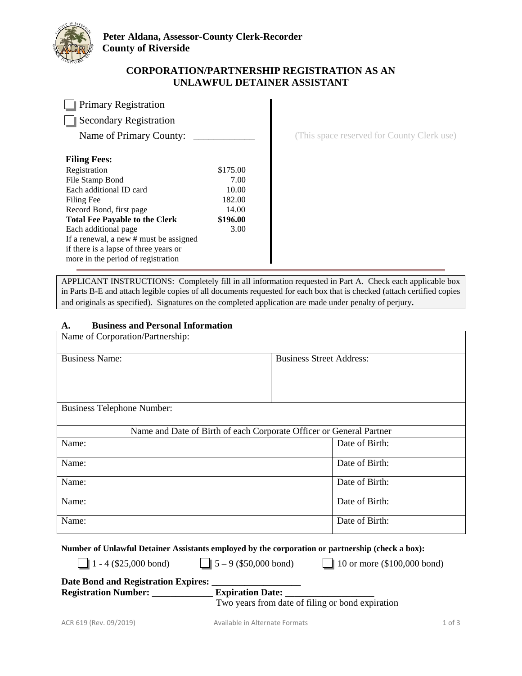

## **CORPORATION/PARTNERSHIP REGISTRATION AS AN UNLAWFUL DETAINER ASSISTANT**

| <b>Primary Registration</b>   |          |
|-------------------------------|----------|
| <b>Secondary Registration</b> |          |
| Name of Primary County:       |          |
| <b>Filing Fees:</b>           |          |
| Registration                  | \$175.00 |
| File Stamp Bond               | 7.00     |
| Each additional ID card       | 10.00    |
| <b>Filing Fee</b>             | 182.00   |

**Total Fee Payable to the Clerk** 

If a renewal, a new # must be assigned if there is a lapse of three years or more in the period of registration

Each additional page

Record Bond, first page 14.00

(This space reserved for County Clerk use)

APPLICANT INSTRUCTIONS: Completely fill in all information requested in Part A. Check each applicable box in Parts B-E and attach legible copies of all documents requested for each box that is checked (attach certified copies and originals as specified). Signatures on the completed application are made under penalty of perjury.

**\$196.00**  3.00

#### **A. Business and Personal Information**

| Name of Corporation/Partnership:                                    |                                 |  |
|---------------------------------------------------------------------|---------------------------------|--|
| <b>Business Name:</b>                                               | <b>Business Street Address:</b> |  |
|                                                                     |                                 |  |
|                                                                     |                                 |  |
| <b>Business Telephone Number:</b>                                   |                                 |  |
| Name and Date of Birth of each Corporate Officer or General Partner |                                 |  |
| Name:                                                               | Date of Birth:                  |  |
| Name:                                                               | Date of Birth:                  |  |
| Name:                                                               | Date of Birth:                  |  |
| Name:                                                               | Date of Birth:                  |  |
| Name:                                                               | Date of Birth:                  |  |

**Number of Unlawful Detainer Assistants employed by the corporation or partnership (check a box):**

1 - 4 (\$25,000 bond)  $\boxed{\phantom{0}}$  5 – 9 (\$50,000 bond)  $\boxed{\phantom{0}}$  10 or more (\$100,000 bond)

| <b>Date Bond and Registration Expires:</b> |                         |
|--------------------------------------------|-------------------------|
| <b>Registration Number:</b>                | <b>Expiration Date:</b> |

Two years from date of filing or bond expiration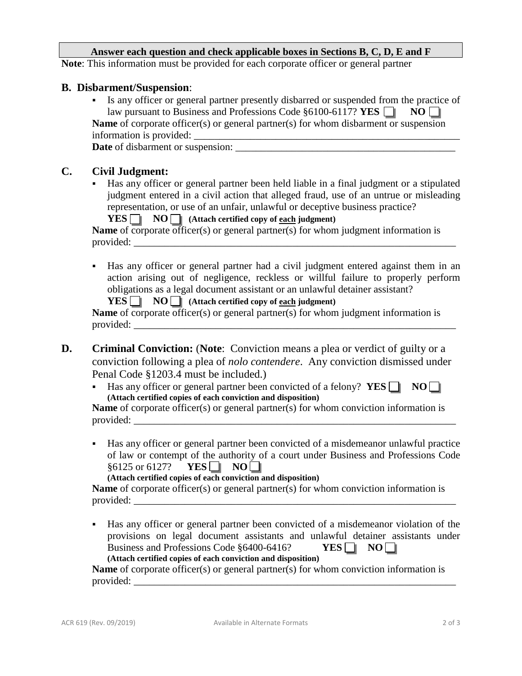### **Answer each question and check applicable boxes in Sections B, C, D, E and F**

**Note**: This information must be provided for each corporate officer or general partner

#### **B. Disbarment/Suspension**:

 Is any officer or general partner presently disbarred or suspended from the practice of law pursuant to Business and Professions Code  $§6100-6117$ ? **YES**  $\Box$  **NO** $\Box$ **Name** of corporate officer(s) or general partner(s) for whom disbarment or suspension information is provided:

**Date** of disbarment or suspension:

# **C. Civil Judgment:**

 Has any officer or general partner been held liable in a final judgment or a stipulated judgment entered in a civil action that alleged fraud, use of an untrue or misleading representation, or use of an unfair, unlawful or deceptive business practice?

| $YES \tN$ NO $\Box$ (Attach certified copy of each judgment)                               |
|--------------------------------------------------------------------------------------------|
| <b>Name</b> of corporate officer(s) or general partner(s) for whom judgment information is |

- provided:
- Has any officer or general partner had a civil judgment entered against them in an action arising out of negligence, reckless or willful failure to properly perform obligations as a legal document assistant or an unlawful detainer assistant?

|  |  |  |  | $\text{YES}$ NO   (Attach certified copy of each judgment) |  |
|--|--|--|--|------------------------------------------------------------|--|
|--|--|--|--|------------------------------------------------------------|--|

**Name** of corporate officer(s) or general partner(s) for whom judgment information is provided:

- **D. Criminal Conviction:** (**Note**: Conviction means a plea or verdict of guilty or a conviction following a plea of *nolo contendere*. Any conviction dismissed under Penal Code §1203.4 must be included.)
	- Has any officer or general partner been convicted of a felony?  $YES \nightharpoonup \nightharpoonup \nightharpoonup \nightharpoonup \nightharpoonup$ **(Attach certified copies of each conviction and disposition)**

**Name** of corporate officer(s) or general partner(s) for whom conviction information is provided:

 Has any officer or general partner been convicted of a misdemeanor unlawful practice of law or contempt of the authority of a court under Business and Professions Code  $§6125$  or 6127? **YES NO** 

```
(Attach certified copies of each conviction and disposition)
```
**Name** of corporate officer(s) or general partner(s) for whom conviction information is provided:

 Has any officer or general partner been convicted of a misdemeanor violation of the provisions on legal document assistants and unlawful detainer assistants under Business and Professions Code  $§6400-6416$ ? **YES**  $\Box$  **NO** $\Box$ **(Attach certified copies of each conviction and disposition)**

**Name** of corporate officer(s) or general partner(s) for whom conviction information is provided: